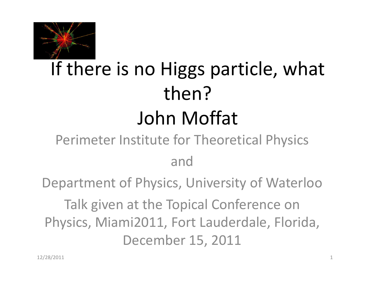

# If there is no Higgs particle, what then?John Moffat

## Perimeter Institute for Theoretical Physicsand

Department of Physics, University of Waterloo

Talk given at the Topical Conference on Physics, Miami2011, Fort Lauderdale, Florida, December 15, 2011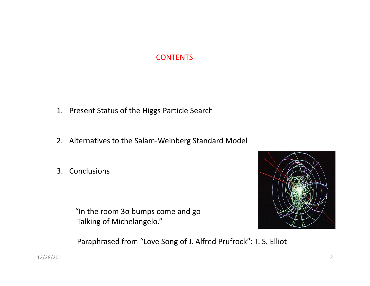#### **CONTENTS**

- 1. Present Status of the Higgs Particle Search
- 2. Alternatives to the Salam-Weinberg Standard Model
- 3. Conclusions

"In the room 3σ bumps come and go Talking of Michelangelo."

Paraphrased from "Love Song of J. Alfred Prufrock": T. S. Elliot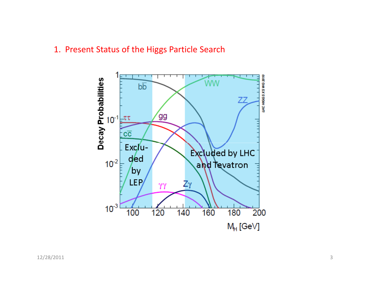#### 1. Present Status of the Higgs Particle Search

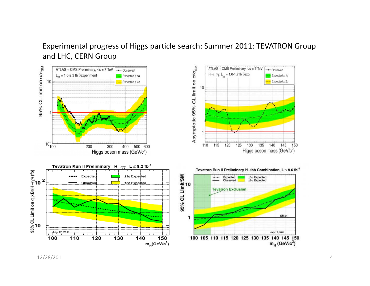#### Experimental progress of Higgs particle search: Summer 2011: TEVATRON Group and LHC, CERN Group

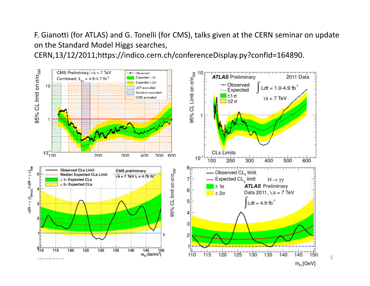F. Gianotti (for ATLAS) and G. Tonelli (for CMS), talks given at the CERN seminar on update on the Standard Model Higgs searches,

CERN,13/12/2011;https://indico.cern.ch/conferenceDisplay.py?confId=164890.



5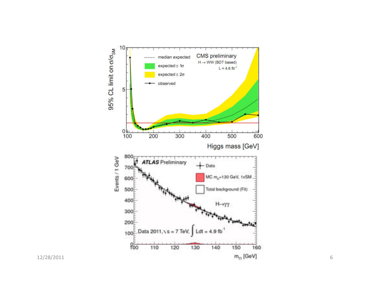

12/28/2011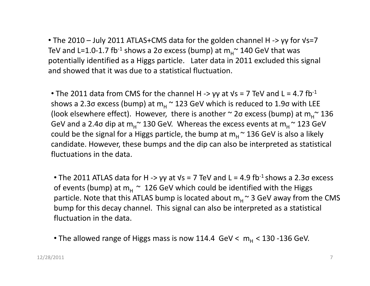• The 2010 – July 2011 ATLAS+CMS data for the golden channel H -> γγ for √s=7 TeV and L=1.0-1.7 fb<sup>-1</sup> shows a 2 $\sigma$  excess (bump) at m<sub>H</sub> $\sim$  140 GeV that was potentially identified as a Higgs particle. Later data in 2011 excluded this signal and showed that it was due to a statistical fluctuation.

• The 2011 data from CMS for the channel H ->  $\gamma\gamma$  at  $\gamma$ s = 7 TeV and L = 4.7 fb<sup>-1</sup> shows a 2.3σ excess (bump) at m<sub>H</sub> ~ 123 GeV which is reduced to 1.9σ with LEE<br>(i) the line of the line of the line of the line of the line of the line of the line of the line of the line of (look elsewhere effect). However, there is another  $\sim$  2 $\sigma$  excess (bump) at  $m_{H}^{\sim}$  136 GeV and a 2.4σ dip at m<sub>H</sub>~ 130 GeV. Whereas the excess events at m<sub>H</sub> ~ 123 GeV could be the signal for a Higgs particle, the bump at  $m_H$   $\sim$  136 GeV is also a likely candidate. However, these bumps and the dip can also be interpreted as statistical fluctuations in the data.

• The 2011 ATLAS data for H -> γγ at Vs = 7 TeV and L = 4.9 fb<sup>-1</sup> shows a 2.3σ excess of events (bump) at  $m_H \sim 126$  GeV which could be identified with the Higgs particle. Note that this ATLAS bump is located about  $m_H$  ~ 3 GeV away from the CMS bump for this decay channel. This signal can also be interpreted as a statistical fluctuation in the data.

• The allowed range of Higgs mass is now  $114.4\,$  GeV  $<\,$  m $_{\textrm{\tiny{H}}}$   $< 130$  -136 GeV.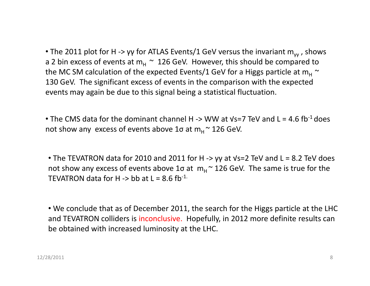• The 2011 plot for H -> γγ for ATLAS Events/1 GeV versus the invariant  $m_{\gamma\gamma}$  , shows a 2 bin excess of events at  $m_H ~ 126$  GeV. However, this should be compared to  $\mu$ the MC SM calculation of the expected Events/1 GeV for a Higgs particle at  $m_H \sim$ 130 GeV. The significant excess of events in the comparison with the expected events may again be due to this signal being a statistical fluctuation.

• The CMS data for the dominant channel H -> WW at  $\sqrt{5}$  TeV and L = 4.6 fb<sup>-1</sup> does not show any excess of events above 1 $\sigma$  at  $m_{\rm H}$   $\sim$  126 GeV.

• The TEVATRON data for 2010 and 2011 for H -> γγ at √s=2 TeV and L = 8.2 TeV does not show any excess of events above 1σ at m<sup>H</sup> ~ 126 GeV. The same is true for the TEVATRON data for H -> bb at L = 8.6 fb<sup>-1.</sup>

• We conclude that as of December 2011, the search for the Higgs particle at the LHC and TEVATRON colliders is inconclusive. Hopefully, in 2012 more definite results can be obtained with increased luminosity at the LHC.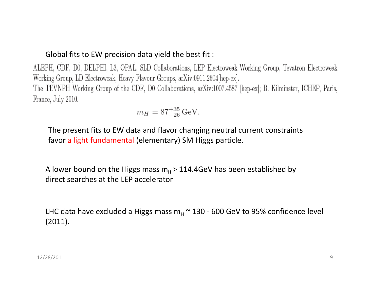#### Global fits to EW precision data yield the best fit :

ALEPH, CDF, D0, DELPHI, L3, OPAL, SLD Collaborations, LEP Electroweak Working Group, Tevatron Electroweak Working Group, LD Electroweak, Heavy Flavour Groups, arXiv:0911.2604[hep-ex].

The TEVNPH Working Group of the CDF, D0 Collaborations, arXiv:1007.4587 [hep-ex]; B. Kilminster, ICHEP, Paris, France, July 2010.

$$
m_H = 87^{+35}_{-26} \,\text{GeV}.
$$

The present fits to EW data and flavor changing neutral current constraints favor a light fundamental (elementary) SM Higgs particle.

A lower bound on the Higgs mass  $m_H$  > 114.4GeV has been established by direct searches at the LEP accelerator

LHC data have excluded a Higgs mass m<sub>H</sub> ~ 130 - 600 GeV to 95% confidence level<br>'2011) (2011).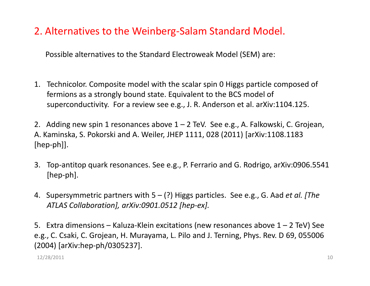### 2. Alternatives to the Weinberg-Salam Standard Model.

Possible alternatives to the Standard Electroweak Model (SEM) are:

- 1. Technicolor. Composite model with the scalar spin 0 Higgs particle composed of fermions as a strongly bound state. Equivalent to the BCS model of superconductivity. For a review see e.g., J. R. Anderson et al. arXiv:1104.125.
- 2. Adding new spin 1 resonances above  $1 2$  TeV. See e.g., A. Falkowski, C. Grojean, A. Kaminska, S. Pokorski and A. Weiler, JHEP 1111, 028 (2011) [arXiv:1108.1183[hep-ph]].
- 3. Top-antitop quark resonances. See e.g., P. Ferrario and G. Rodrigo, arXiv:0906.5541 [hep-ph].
- 4. Supersymmetric partners with 5 (?) Higgs particles. See e.g., G. Aad *et al. [The* ATLAS Collaboration], arXiv:0901.0512 [hep-ex].
- 5. Extra dimensions Kaluza-Klein excitations (new resonances above 1 2 TeV) See e.g., C. Csaki, C. Grojean, H. Murayama, L. Pilo and J. Terning, Phys. Rev. D 69, 055006 (2004) [arXiv:hep-ph/0305237].

12/28/2011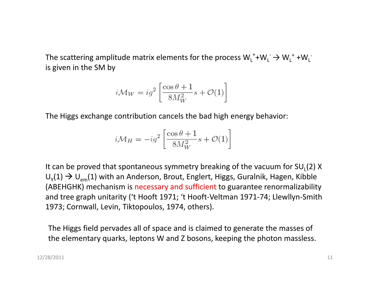The scattering amplitude matrix elements for the process  $W_L^{\dagger}+W_L^{\dagger} \rightarrow W_L^{\dagger}+W_L^{\dagger}$ is given in the SM by

$$
i\mathcal{M}_W = ig^2 \left[ \frac{\cos \theta + 1}{8M_W^2} s + \mathcal{O}(1) \right]
$$

The Higgs exchange contribution cancels the bad high energy behavior:

$$
i\mathcal{M}_H = -ig^2 \left[ \frac{\cos \theta + 1}{8M_W^2} s + \mathcal{O}(1) \right]
$$

It can be proved that spontaneous symmetry breaking of the vacuum for  $SU<sub>1</sub>(2)$  X  $\mathsf{U}_{\mathsf{Y}}(1) \to \mathsf{U}_{\mathsf{em}}(1)$  with an Anderson, Brout, Englert, Higgs, Guralnik, Hagen, Kibble (ABEHGHK) mechanism is necessary and sufficient to guarantee renormalizability and tree graph unitarity ('t Hooft 1971; 't Hooft-Veltman 1971-74; Llewllyn-Smith 1973; Cornwall, Levin, Tiktopoulos, 1974, others).

The Higgs field pervades all of space and is claimed to generate the masses of the elementary quarks, leptons W and Z bosons, keeping the photon massless.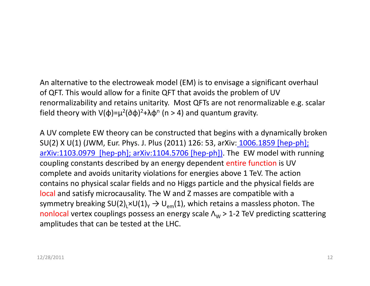An alternative to the electroweak model (EM) is to envisage a significant overhaul of QFT. This would allow for a finite QFT that avoids the problem of UV renormalizability and retains unitarity. Most QFTs are not renormalizable e.g. scalar field theory with V(φ)=μ<sup>2</sup>(∂φ)<sup>2</sup>+λφ<sup>n</sup> (n > 4) and quantum gravity.

A UV complete EW theory can be constructed that begins with a dynamically broken SU(2) X U(1) (JWM, Eur. Phys. J. Plus (2011) 126: 53, arXiv: <u>1006.1859 [hep-ph];</u> arXiv:1103.0979 [hep-ph]; arXiv:1104.5706 [hep-ph]). The EW model with running coupling constants described by an energy dependent entire function is UV complete and avoids unitarity violations for energies above 1 TeV. The action contains no physical scalar fields and no Higgs particle and the physical fields are local and satisfy microcausality. The W and Z masses are compatible with a symmetry breaking SU(2)<sub>L</sub>×U(1)<sub>Y</sub>  $\rightarrow$  U<sub>em</sub>(1), which retains a massless photon. The nonlocal vertex couplings possess an energy scale Λ<sub>w</sub>  $_{\text{w}}$  > 1-2 TeV predicting scattering amplitudes that can be tested at the LHC.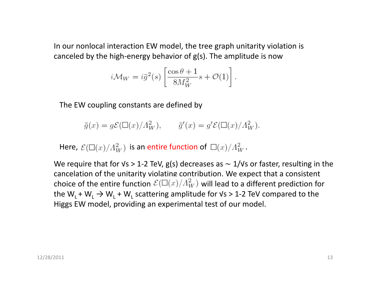In our nonlocal interaction EW model, the tree graph unitarity violation is canceled by the high-energy behavior of g(s). The amplitude is now

$$
i\mathcal{M}_W = i\bar{g}^2(s)\left[\frac{\cos\theta + 1}{8M_W^2}s + \mathcal{O}(1)\right].
$$

The EW coupling constants are defined by

$$
\overline{g}(x) = g\mathcal{E}(\Box(x)/\Lambda_W^2), \qquad \overline{g}'(x) = g'\mathcal{E}(\Box(x)/\Lambda_W^2).
$$

Here,  $\mathcal{E}(\Box(x)/\varLambda_W^2)$  is an entire function of  $\,\Box(x)/\varLambda_W^2$  .

We require that for √s > 1-2 TeV, g(s) decreases as ~ 1/√s or faster, resulting in the cancelation of the unitarity violating contribution. We expect that a consistent choice of the entire function  $\mathcal{E}(\Box(x)/A_W^2)$  will lead to a different prediction for the  $W_{L}$  +  $W_{L}$   $\rightarrow$   $W_{L}$  +  $W_{L}$  scattering amplitude for  $\sqrt{s}$  > 1-2 TeV compared to the Higgs EW model, providing an experimental test of our model.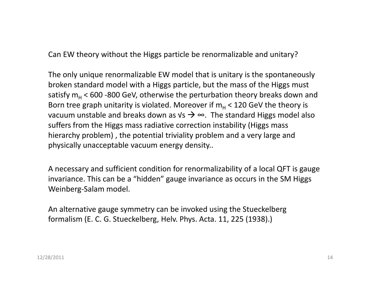Can EW theory without the Higgs particle be renormalizable and unitary?

The only unique renormalizable EW model that is unitary is the spontaneously broken standard model with a Higgs particle, but the mass of the Higgs must satisfy  $m_H < 600$  -800 GeV, otherwise the perturbation theory breaks down and Born tree graph unitarity is violated. Moreover if  $m_H < 120$  GeV the theory is interesting the state of the state of the state of the state of the state of the state of the state of the state of the state of the state of vacuum unstable and breaks down as √s  $\rightarrow \infty$ . The standard Higgs model also<br>suffers from the Higgs mass radiative correction instability (Higgs mass suffers from the Higgs mass radiative correction instability (Higgs mass hierarchy problem) , the potential triviality problem and a very large and physically unacceptable vacuum energy density..

A necessary and sufficient condition for renormalizability of a local QFT is gauge invariance. This can be a "hidden" gauge invariance as occurs in the SM Higgs Weinberg-Salam model.

An alternative gauge symmetry can be invoked using the Stueckelbergformalism (E. C. G. Stueckelberg, Helv. Phys. Acta. 11, 225 (1938).)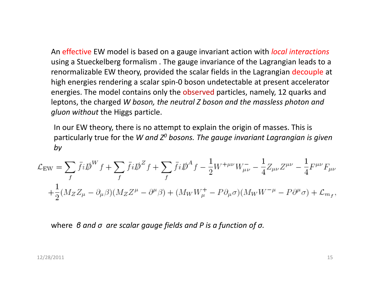An effective EW model is based on a gauge invariant action with *local interactions* using a Stueckelberg formalism . The gauge invariance of the Lagrangian leads to a renormalizable EW theory, provided the scalar fields in the Lagrangian decouple at high energies rendering a scalar spin-0 boson undetectable at present accelerator energies. The model contains only the observed particles, namely, 12 quarks and leptons, the charged W boson, the neutral Z boson and the massless photon and gluon without the Higgs particle.

In our EW theory, there is no attempt to explain the origin of masses. This is particularly true for the W and  $Z^0$  bosons. The gauge invariant Lagrangian is given by

$$
\mathcal{L}_{\text{EW}} = \sum_{f} \bar{f} i \not{D}^{W} f + \sum_{f} \bar{f} i \not{D}^{Z} f + \sum_{f} \bar{f} i \not{D}^{A} f - \frac{1}{2} W^{+\mu\nu} W^{-}_{\mu\nu} - \frac{1}{4} Z_{\mu\nu} Z^{\mu\nu} - \frac{1}{4} F^{\mu\nu} F_{\mu\nu}
$$
  
+ 
$$
\frac{1}{2} (M_Z Z_{\mu} - \partial_{\mu} \beta) (M_Z Z^{\mu} - \partial^{\mu} \beta) + (M_W W^{+}_{\mu} - P \partial_{\mu} \sigma) (M_W W^{-\mu} - P \partial^{\mu} \sigma) + \mathcal{L}_{m_f},
$$

where  $\theta$  and  $\sigma$  are scalar gauge fields and P is a function of  $\sigma$ .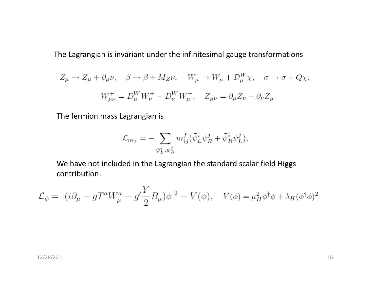The Lagrangian is invariant under the infinitesimal gauge transformations

$$
Z_{\mu} \to Z_{\mu} + \partial_{\mu} \nu, \quad \beta \to \beta + M_Z \nu, \quad W_{\mu} \to W_{\mu} + \mathcal{D}_{\mu}^W \chi, \quad \sigma \to \sigma + Q \chi.
$$

$$
W_{\mu\nu}^+ = D_{\mu}^W W_{\nu}^+ - D_{\nu}^W W_{\mu}^+, \quad Z_{\mu\nu} = \partial_{\mu} Z_{\nu} - \partial_{\nu} Z_{\mu}
$$

The fermion mass Lagrangian is

$$
\mathcal{L}_{m_f} = -\sum_{\psi_L^i, \psi_R^j} m_{ij}^f (\bar{\psi}_L^i \psi_R^j + \bar{\psi}_R^i \psi_L^j),
$$

We have not included in the Lagrangian the standard scalar field Higgs contribution:

$$
\mathcal{L}_{\phi} = |(i\partial_{\mu} - gT^{a}W_{\mu}^{a} - g'\frac{Y}{2}B_{\mu})\phi|^{2} - V(\phi), \quad V(\phi) = \mu_{H}^{2}\phi^{\dagger}\phi + \lambda_{H}(\phi^{\dagger}\phi)^{2}
$$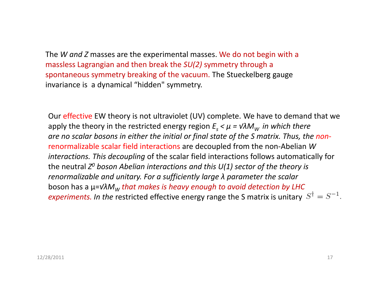The *W* and *Z* masses are the experimental masses. We do not begin with a massless Lagrangian and then break the SU(2) symmetry through a spontaneous symmetry breaking of the vacuum. The Stueckelberg gauge invariance is a dynamical "hidden" symmetry.

Our effective EW theory is not ultraviolet (UV) complete. We have to demand that we apply the theory in the restricted energy region  $E_{_S}$  <  $\mu$  =  $\nu\lambda M_{_W}$  in which there are no scalar bosons in either the initial or final state of the S matrix. Thus, the nonrenormalizable scalar field interactions are decoupled from the non-Abelian <sup>W</sup> interactions. This decoupling of the scalar field interactions follows automatically for the neutral Z<sup>0</sup> boson Abelian interactions and this U(1) sector of the theory is renormalizable and unitary. For a sufficiently large  $\lambda$  parameter the scalar boson has a  $\mu$ =√λM<sub>W</sub> that makes is heavy enough to avoid detection by LHC<br>experiments, in the restricted effective energy range the S matrix is unitary. experiments. In the restricted effective energy range the S matrix is unitary  $S^{\dagger} = S^{-1}$ .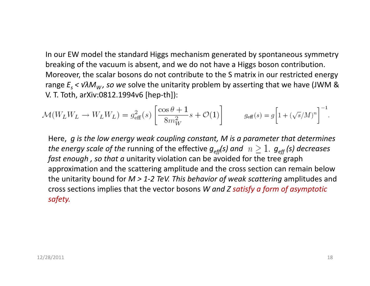In our EW model the standard Higgs mechanism generated by spontaneous symmetry breaking of the vacuum is absent, and we do not have a Higgs boson contribution. Moreover, the scalar bosons do not contribute to the S matrix in our restricted energy range  $E_s$  <  $\mathsf{v}\lambda\mathsf{M}_W$ , so we solve the unitarity problem by asserting that we have (JWM & V. T. Toth, arXiv:0812.1994v6 [hep-th]):

$$
\mathcal{M}(W_L W_L \to W_L W_L) = g_{\text{eff}}^2(s) \left[ \frac{\cos \theta + 1}{8m_W^2} s + \mathcal{O}(1) \right] \qquad g_{\text{eff}}(s) = g \left[ 1 + (\sqrt{s}/M)^n \right]^{-1}.
$$

Here, g is the low energy weak coupling constant, M is a parameter that determines the energy scale of the running of the effective  $g_{\it eff}$ (s) and  $\;n\geq 1.\;$   $g_{\it eff}$  (s) decreases fast enough, so that a unitarity violation can be avoided for the tree graph approximation and the scattering amplitude and the cross section can remain below the unitarity bound for  $M > 1-2$  TeV. This behavior of weak scattering amplitudes and cross sections implies that the vector bosons W and Z satisfy a form of asymptotic safety.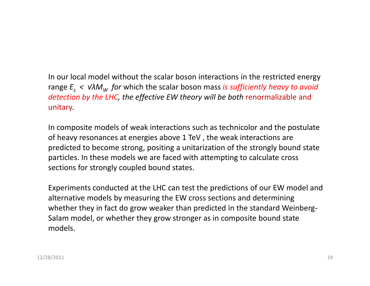In our local model without the scalar boson interactions in the restricted energy range  $E_{_S}$  <  $\nu\lambda{\sf M}_W$  detection by the LHC, the effective EW theory will be both renormalizable and  $f_{W}$  for which the scalar boson mass is sufficiently heavy to avoid  $f_{W}$  for which the scalar boson mass is sufficiently heavy to avoid unitary.

In composite models of weak interactions such as technicolor and the postulate of heavy resonances at energies above 1 TeV , the weak interactions are predicted to become strong, positing a unitarization of the strongly bound state particles. In these models we are faced with attempting to calculate cross sections for strongly coupled bound states.

Experiments conducted at the LHC can test the predictions of our EW model and alternative models by measuring the EW cross sections and determining whether they in fact do grow weaker than predicted in the standard Weinberg-Salam model, or whether they grow stronger as in composite bound state models.